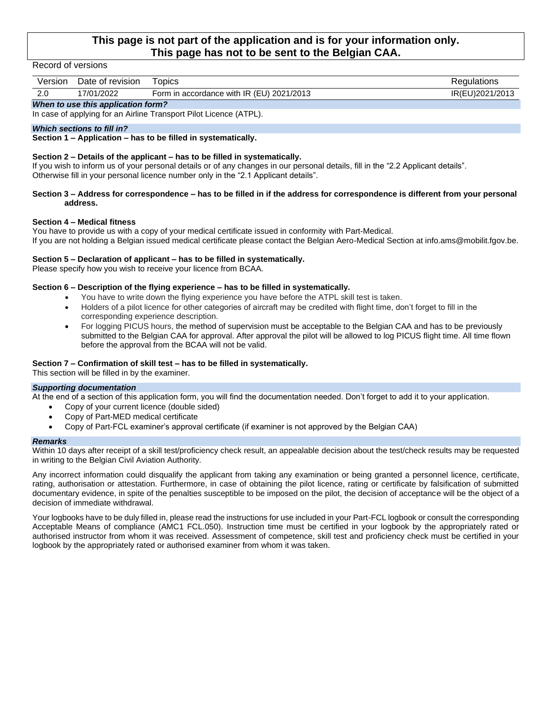## **This page is not part of the application and is for your information only. This page has not to be sent to the Belgian CAA.**

#### Record of versions

| Version                            | Date of revision | <b>Topics</b>                             | Regulations     |  |  |
|------------------------------------|------------------|-------------------------------------------|-----------------|--|--|
| 2.0                                | 17/01/2022       | Form in accordance with IR (EU) 2021/2013 | IR(EU)2021/2013 |  |  |
| When to use this application form? |                  |                                           |                 |  |  |

In case of applying for an Airline Transport Pilot Licence (ATPL).

#### *Which sections to fill in?*

**Section 1 – Application – has to be filled in systematically.**

### **Section 2 – Details of the applicant – has to be filled in systematically.**

If you wish to inform us of your personal details or of any changes in our personal details, fill in the "2.2 Applicant details". Otherwise fill in your personal licence number only in the "2.1 Applicant details".

#### **Section 3 – Address for correspondence – has to be filled in if the address for correspondence is different from your personal address.**

#### **Section 4 – Medical fitness**

You have to provide us with a copy of your medical certificate issued in conformity with Part-Medical. If you are not holding a Belgian issued medical certificate please contact the Belgian Aero-Medical Section at info.ams@mobilit.fgov.be.

#### **Section 5 – Declaration of applicant – has to be filled in systematically.**

Please specify how you wish to receive your licence from BCAA.

#### **Section 6 – Description of the flying experience – has to be filled in systematically.**

- You have to write down the flying experience you have before the ATPL skill test is taken.
- Holders of a pilot licence for other categories of aircraft may be credited with flight time, don't forget to fill in the corresponding experience description.
- For logging PICUS hours, the method of supervision must be acceptable to the Belgian CAA and has to be previously submitted to the Belgian CAA for approval. After approval the pilot will be allowed to log PICUS flight time. All time flown before the approval from the BCAA will not be valid.

#### **Section 7 – Confirmation of skill test – has to be filled in systematically.**

This section will be filled in by the examiner.

### *Supporting documentation*

At the end of a section of this application form, you will find the documentation needed. Don't forget to add it to your application.

- Copy of your current licence (double sided)
- Copy of Part-MED medical certificate
- Copy of Part-FCL examiner's approval certificate (if examiner is not approved by the Belgian CAA)

#### *Remarks*

Within 10 days after receipt of a skill test/proficiency check result, an appealable decision about the test/check results may be requested in writing to the Belgian Civil Aviation Authority.

Any incorrect information could disqualify the applicant from taking any examination or being granted a personnel licence, certificate, rating, authorisation or attestation. Furthermore, in case of obtaining the pilot licence, rating or certificate by falsification of submitted documentary evidence, in spite of the penalties susceptible to be imposed on the pilot, the decision of acceptance will be the object of a decision of immediate withdrawal.

Your logbooks have to be duly filled in, please read the instructions for use included in your Part-FCL logbook or consult the corresponding Acceptable Means of compliance (AMC1 FCL.050). Instruction time must be certified in your logbook by the appropriately rated or authorised instructor from whom it was received. Assessment of competence, skill test and proficiency check must be certified in your logbook by the appropriately rated or authorised examiner from whom it was taken.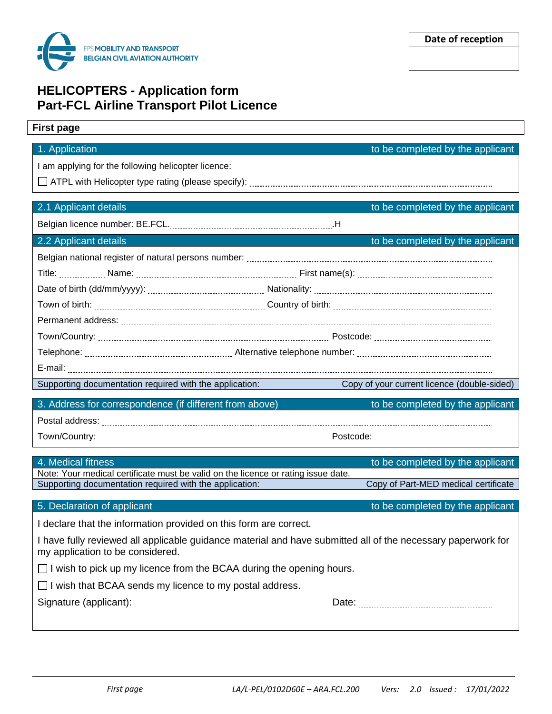

# **HELICOPTERS - Application form Part-FCL Airline Transport Pilot Licence**

## **First page**

# 1. Application to be completed by the applicant I am applying for the following helicopter licence: ATPL with Helicopter type rating (please specify): 2.1 Applicant details to be completed by the applicant Belgian licence number: BE.FCL. .H 2.2 Applicant details to be completed by the applicant Belgian national register of natural persons number: Title: Name: First name(s): Date of birth (dd/mm/yyyy): Nationality: Town of birth: Country of birth: Permanent address: Town/Country: Postcode: Telephone: Alternative telephone number: E-mail: Supporting documentation required with the application: Copy of your current licence (double-sided) 3. Address for correspondence (if different from above) to be completed by the applicant Postal address: Town/Country: etc. All and the state of the state of the state of the Postcode: Postcode: 4. Medical fitness to be completed by the applicant Note: Your medical certificate must be valid on the licence or rating issue date. Supporting documentation required with the application: Copy of Part-MED medical certificate

I declare that the information provided on this form are correct.

I have fully reviewed all applicable guidance material and have submitted all of the necessary paperwork for my application to be considered.

 $\Box$  I wish to pick up my licence from the BCAA during the opening hours.

 $\Box$  I wish that BCAA sends my licence to my postal address.

Signature (applicant): The contract of the contract of the Date: the Date: the Contract of the Contract of Date: the Contract of the Contract of Date: the Contract of the Contract of the Contract of the Contract of the Con

| Date of reception |  |  |  |  |
|-------------------|--|--|--|--|
|-------------------|--|--|--|--|

5. Declaration of applicant to be completed by the applicant

*First page LA/L-PEL/0102D60E – ARA.FCL.200 Vers: 2.0 Issued : 17/01/2022*